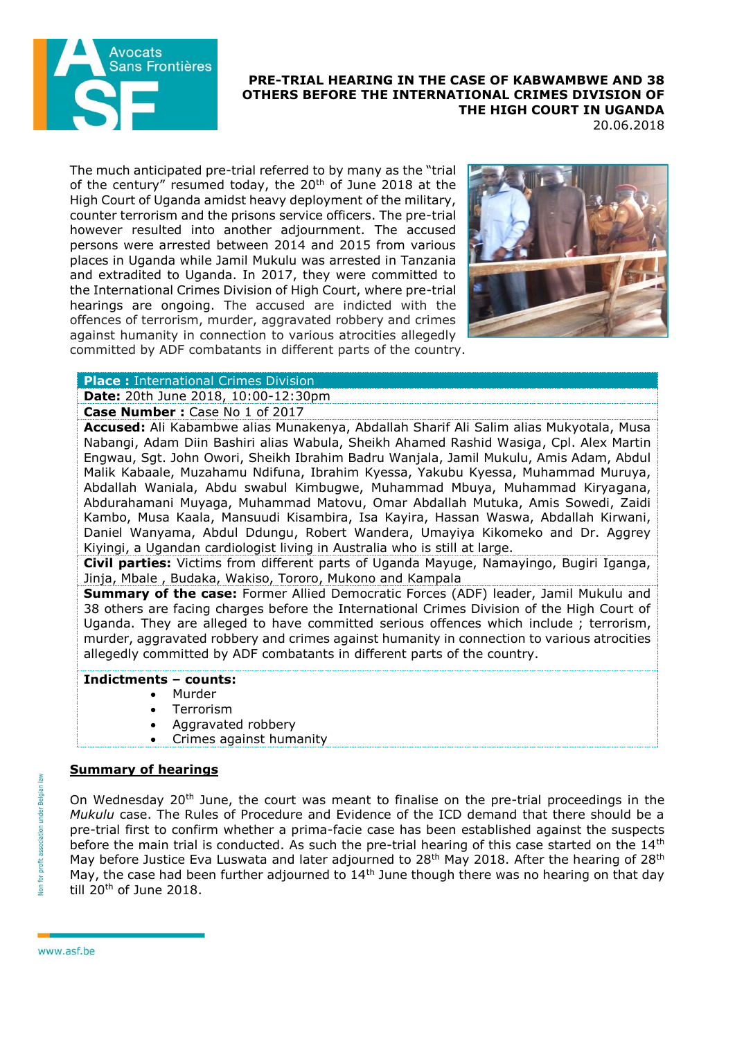

## **PRE-TRIAL HEARING IN THE CASE OF KABWAMBWE AND 38 OTHERS BEFORE THE INTERNATIONAL CRIMES DIVISION OF THE HIGH COURT IN UGANDA**

20.06.2018

The much anticipated pre-trial referred to by many as the "trial of the century" resumed today, the 20<sup>th</sup> of June 2018 at the High Court of Uganda amidst heavy deployment of the military, counter terrorism and the prisons service officers. The pre-trial however resulted into another adjournment. The accused persons were arrested between 2014 and 2015 from various places in Uganda while Jamil Mukulu was arrested in Tanzania and extradited to Uganda. In 2017, they were committed to the International Crimes Division of High Court, where pre-trial hearings are ongoing. The accused are indicted with the offences of terrorism, murder, aggravated robbery and crimes against humanity in connection to various atrocities allegedly committed by ADF combatants in different parts of the country.



## **Place :** International Crimes Division

**Date:** 20th June 2018, 10:00-12:30pm

**Case Number :** Case No 1 of 2017

**Accused:** Ali Kabambwe alias Munakenya, Abdallah Sharif Ali Salim alias Mukyotala, Musa Nabangi, Adam Diin Bashiri alias Wabula, Sheikh Ahamed Rashid Wasiga, Cpl. Alex Martin Engwau, Sgt. John Owori, Sheikh Ibrahim Badru Wanjala, Jamil Mukulu, Amis Adam, Abdul Malik Kabaale, Muzahamu Ndifuna, Ibrahim Kyessa, Yakubu Kyessa, Muhammad Muruya, Abdallah Waniala, Abdu swabul Kimbugwe, Muhammad Mbuya, Muhammad Kiryagana, Abdurahamani Muyaga, Muhammad Matovu, Omar Abdallah Mutuka, Amis Sowedi, Zaidi Kambo, Musa Kaala, Mansuudi Kisambira, Isa Kayira, Hassan Waswa, Abdallah Kirwani, Daniel Wanyama, Abdul Ddungu, Robert Wandera, Umayiya Kikomeko and Dr. Aggrey Kiyingi, a Ugandan cardiologist living in Australia who is still at large.

**Civil parties:** Victims from different parts of Uganda Mayuge, Namayingo, Bugiri Iganga, Jinja, Mbale , Budaka, Wakiso, Tororo, Mukono and Kampala

**Summary of the case:** Former Allied Democratic Forces (ADF) leader, Jamil Mukulu and 38 others are facing charges before the International Crimes Division of the High Court of Uganda. They are alleged to have committed serious offences which include ; terrorism, murder, aggravated robbery and crimes against humanity in connection to various atrocities allegedly committed by ADF combatants in different parts of the country.

## **Indictments – counts:**

- Murder
- Terrorism
- Aggravated robbery
- Crimes against humanity

## **Summary of hearings**

On Wednesday 20<sup>th</sup> June, the court was meant to finalise on the pre-trial proceedings in the *Mukulu* case. The Rules of Procedure and Evidence of the ICD demand that there should be a pre-trial first to confirm whether a prima-facie case has been established against the suspects before the main trial is conducted. As such the pre-trial hearing of this case started on the  $14<sup>th</sup>$ May before Justice Eva Luswata and later adjourned to 28<sup>th</sup> May 2018. After the hearing of 28<sup>th</sup> May, the case had been further adjourned to 14<sup>th</sup> June though there was no hearing on that day till 20<sup>th</sup> of June 2018.

www.asf.be